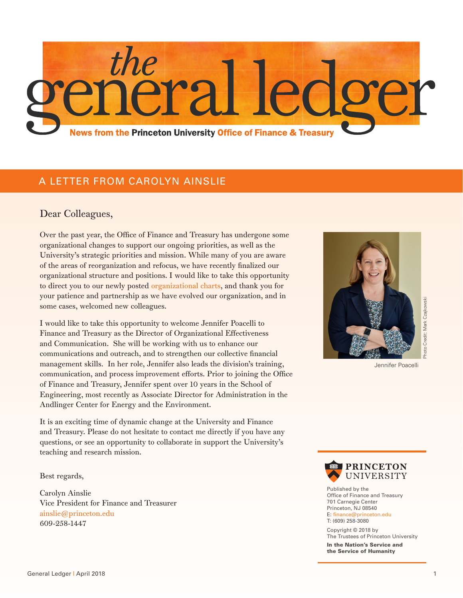

### A LETTER FROM CAROLYN AINSLIE

#### Dear Colleagues,

Over the past year, the Office of Finance and Treasury has undergone some organizational changes to support our ongoing priorities, as well as the University's strategic priorities and mission. While many of you are aware of the areas of reorganization and refocus, we have recently finalized our organizational structure and positions. I would like to take this opportunity to direct you to our newly posted [organizational charts,](https://finance.princeton.edu/our-organization/organizational-chart/index.xml) and thank you for your patience and partnership as we have evolved our organization, and in some cases, welcomed new colleagues.

I would like to take this opportunity to welcome Jennifer Poacelli to Finance and Treasury as the Director of Organizational Effectiveness and Communication. She will be working with us to enhance our communications and outreach, and to strengthen our collective financial management skills. In her role, Jennifer also leads the division's training, communication, and process improvement efforts. Prior to joining the Office of Finance and Treasury, Jennifer spent over 10 years in the School of Engineering, most recently as Associate Director for Administration in the Andlinger Center for Energy and the Environment. For mountain and Treaty, Please to not be<br>since cases, welonged new colleagues.<br>
I would like to take this opportunity to welcome Compilational Effectiveness<br>
communications and outer and the Director of Deguisational Effe

It is an exciting time of dynamic change at the University and Finance and Treasury. Please do not hesitate to contact me directly if you have any questions, or see an opportunity to collaborate in support the University's teaching and research mission.

Best regards,

Carolyn Ainslie Vice President for Finance and Treasurer ainslie@princeton.edu 609-258-1447



Jennifer Poacelli



Published by the Office of Finance and Treasury 701 Carnegie Center Princeton, NJ 08540 E: finance@princeton.edu T: (609) 258-3080

Copyright © 2018 by The Trustees of Princeton University In the Nation's Service and the Service of Humanity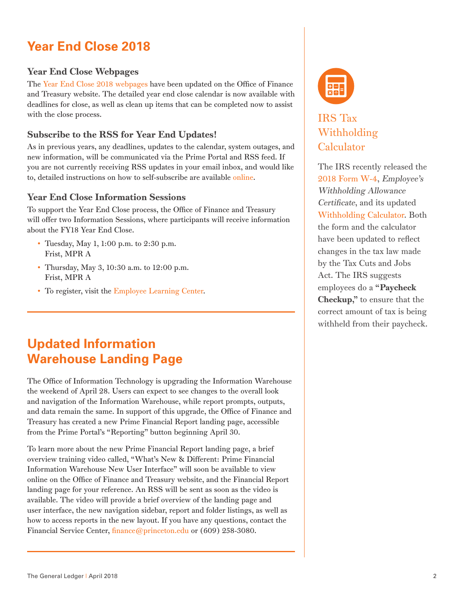# **Year End Close 2018**

### Year End Close Webpages

The [Year End Close 2018 webpages](https://finance.princeton.edu/how-to/financial-management/year-end-close/) have been updated on the Office of Finance and Treasury website. The detailed year end close calendar is now available with deadlines for close, as well as clean up items that can be completed now to assist with the close process.

### Subscribe to the RSS for Year End Updates!

As in previous years, any deadlines, updates to the calendar, system outages, and new information, will be communicated via the Prime Portal and RSS feed. If you are not currently receiving RSS updates in your email inbox, and would like to, detailed instructions on how to self-subscribe are available [online](https://finance.princeton.edu/how-to/prime-information-trainin/getting-started/subscribe-to-the-rss-news/index.xml).

### Year End Close Information Sessions

To support the Year End Close process, the Office of Finance and Treasury will offer two Information Sessions, where participants will receive information about the FY18 Year End Close.

- Tuesday, May 1, 1:00 p.m. to 2:30 p.m. Frist, MPR A
- Thursday, May 3, 10:30 a.m. to 12:00 p.m. Frist, MPR A
- To register, visit the [Employee Learning Center.](https://fed.princeton.edu/cas/login;jsessionid=94D8A57E8656471ABEA59E0A51D7F085?locale=en&service=http%3A%2F%2Fputrain.learn.com%2Fcustom%2FcustomLoginHandler.asp%3Fdebug%3Dn%26lcid%3D178409%26page%3D103)

## **Updated Information Warehouse Landing Page**

The Office of Information Technology is upgrading the Information Warehouse the weekend of April 28. Users can expect to see changes to the overall look and navigation of the Information Warehouse, while report prompts, outputs, and data remain the same. In support of this upgrade, the Office of Finance and Treasury has created a new Prime Financial Report landing page, accessible from the Prime Portal's "Reporting" button beginning April 30.

To learn more about the new Prime Financial Report landing page, a brief overview training video called, "What's New & Different: Prime Financial Information Warehouse New User Interface" will soon be available to view online on the Office of Finance and Treasury website, and the Financial Report landing page for your reference. An RSS will be sent as soon as the video is available. The video will provide a brief overview of the landing page and user interface, the new navigation sidebar, report and folder listings, as well as how to access reports in the new layout. If you have any questions, contact the Financial Service Center, finance@princeton.edu or (609) 258-3080.



## IRS Tax Withholding **Calculator**

The IRS recently released the [2018 Form W-4,](https://www.irs.gov/pub/irs-pdf/fw4.pdf) Employee's Withholding Allowance Certificate, and its updated [Withholding Calculator.](https://www.irs.gov/individuals/irs-withholding-calculator) Both the form and the calculator have been updated to reflect changes in the tax law made by the Tax Cuts and Jobs Act. The IRS suggests employees do a "Paycheck Checkup," to ensure that the correct amount of tax is being withheld from their paycheck.